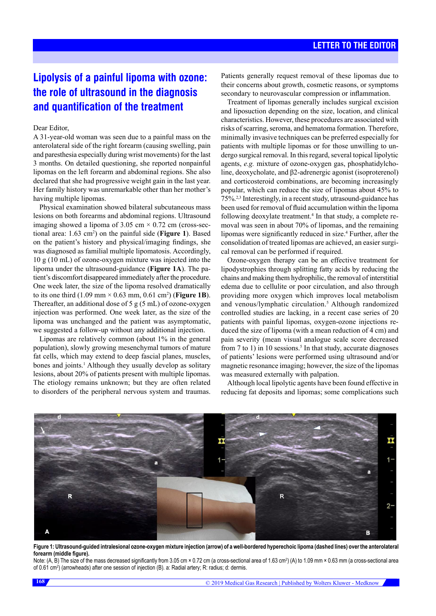# **Lipolysis of a painful lipoma with ozone: the role of ultrasound in the diagnosis and quantification of the treatment**

### Dear Editor,

A 31-year-old woman was seen due to a painful mass on the anterolateral side of the right forearm (causing swelling, pain and paresthesia especially during wrist movements) for the last 3 months. On detailed questioning, she reported nonpainful lipomas on the left forearm and abdominal regions. She also declared that she had progressive weight gain in the last year. Her family history was unremarkable other than her mother's having multiple lipomas.

Physical examination showed bilateral subcutaneous mass lesions on both forearms and abdominal regions. Ultrasound imaging showed a lipoma of  $3.05 \text{ cm} \times 0.72 \text{ cm}$  (cross-sectional area: 1.63 cm<sup>2</sup> ) on the painful side (**Figure 1**). Based on the patient's history and physical/imaging findings, she was diagnosed as familial multiple lipomatosis. Accordingly, 10 g (10 mL) of ozone-oxygen mixture was injected into the lipoma under the ultrasound-guidance (**Figure 1A**). The patient's discomfort disappeared immediately after the procedure. One week later, the size of the lipoma resolved dramatically to its one third  $(1.09 \text{ mm} \times 0.63 \text{ mm}, 0.61 \text{ cm}^2)$  (**Figure 1B**). Thereafter, an additional dose of 5 g (5 mL) of ozone-oxygen injection was performed. One week later, as the size of the lipoma was unchanged and the patient was asymptomatic, we suggested a follow-up without any additional injection.

Lipomas are relatively common (about 1% in the general population), slowly growing mesenchymal tumors of mature fat cells, which may extend to deep fascial planes, muscles, bones and joints.<sup>1</sup> Although they usually develop as solitary lesions, about 20% of patients present with multiple lipomas. The etiology remains unknown; but they are often related to disorders of the peripheral nervous system and traumas.

Patients generally request removal of these lipomas due to their concerns about growth, cosmetic reasons, or symptoms secondary to neurovascular compression or inflammation.

Treatment of lipomas generally includes surgical excision and liposuction depending on the size, location, and clinical characteristics. However, these procedures are associated with risks of scarring, seroma, and hematoma formation. Therefore, minimally invasive techniques can be preferred especially for patients with multiple lipomas or for those unwilling to undergo surgical removal. In this regard, several topical lipolytic agents, *e.g.* mixture of ozone-oxygen gas, phosphatidylcholine, deoxycholate, and β2-adrenergic agonist (isoproterenol) and corticosteroid combinations, are becoming increasingly popular, which can reduce the size of lipomas about 45% to 75%.2,3 Interestingly, in a recent study, utrasound-guidance has been used for removal of fluid accumulation within the lipoma following deoxylate treatment.<sup>4</sup> In that study, a complete removal was seen in about 70% of lipomas, and the remaining lipomas were significantly reduced in size.<sup>4</sup> Further, after the consolidation of treated lipomas are achieved, an easier surgical removal can be performed if required.

Ozone-oxygen therapy can be an effective treatment for lipodystrophies through splitting fatty acids by reducing the chains and making them hydrophilic, the removal of interstitial edema due to cellulite or poor circulation, and also through providing more oxygen which improves local metabolism and venous/lymphatic circulation.<sup>5</sup> Although randomized controlled studies are lacking, in a recent case series of 20 patients with painful lipomas, oxygen-ozone injections reduced the size of lipoma (with a mean reduction of 4 cm) and pain severity (mean visual analogue scale score decreased from 7 to 1) in 10 sessions.<sup>5</sup> In that study, accurate diagnoses of patients' lesions were performed using ultrasound and/or magnetic resonance imaging; however, the size of the lipomas was measured externally with palpation.

Although local lipolytic agents have been found effective in reducing fat deposits and lipomas; some complications such



**Figure 1: Ultrasound-guided intralesional ozone-oxygen mixture injection (arrow) of a well-bordered hyperechoic lipoma (dashed lines) over the anterolateral forearm (middle figure).** 

Note: (A, B) The size of the mass decreased significantly from 3.05 cm × 0.72 cm (a cross-sectional area of 1.63 cm²) (A) to 1.09 mm × 0.63 mm (a cross-sectional area of 0.61 cm²) (arrowheads) after one session of injection (B). a: Radial artery; R: radius; d: dermis.